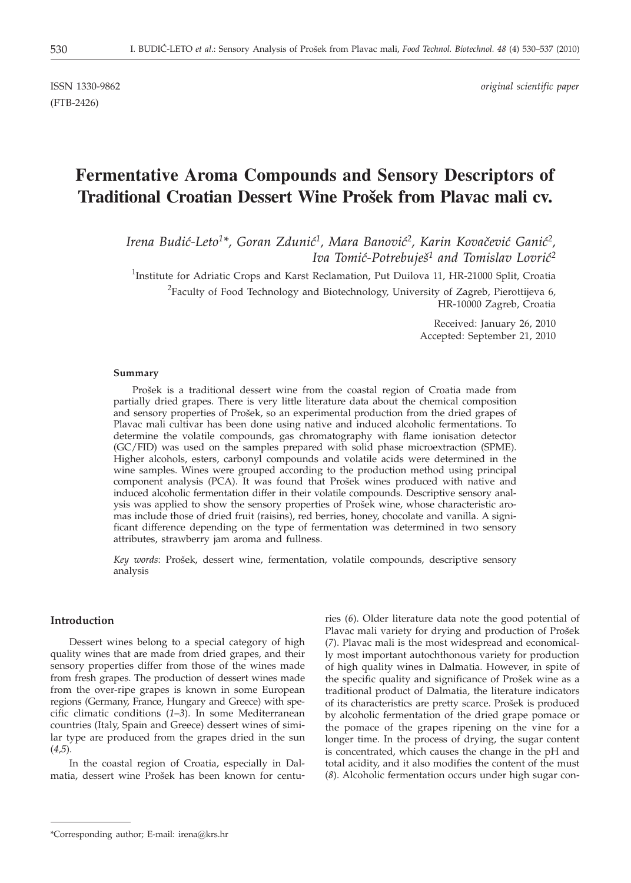(FTB-2426)

# **Fermentative Aroma Compounds and Sensory Descriptors of Traditional Croatian Dessert Wine Prošek from Plavac mali cv.**

Irena Budić-Leto<sup>1\*</sup>, Goran Zdunić<sup>1</sup>, Mara Banović<sup>2</sup>, Karin Kovačević Ganić<sup>2</sup>, *Iva Tomić-Potrebuješ<sup>1</sup> and Tomislav Lovrić<sup>2</sup>* 

<sup>1</sup>Institute for Adriatic Crops and Karst Reclamation, Put Duilova 11, HR-21000 Split, Croatia  $^{2}$ Faculty of Food Technology and Biotechnology, University of Zagreb, Pierottijeva 6, HR-10000 Zagreb, Croatia

> Received: January 26, 2010 Accepted: September 21, 2010

#### **Summary**

Prošek is a traditional dessert wine from the coastal region of Croatia made from partially dried grapes. There is very little literature data about the chemical composition and sensory properties of Prošek, so an experimental production from the dried grapes of Plavac mali cultivar has been done using native and induced alcoholic fermentations. To determine the volatile compounds, gas chromatography with flame ionisation detector (GC/FID) was used on the samples prepared with solid phase microextraction (SPME). Higher alcohols, esters, carbonyl compounds and volatile acids were determined in the wine samples. Wines were grouped according to the production method using principal component analysis (PCA). It was found that Prošek wines produced with native and induced alcoholic fermentation differ in their volatile compounds. Descriptive sensory analysis was applied to show the sensory properties of Prošek wine, whose characteristic aromas include those of dried fruit (raisins), red berries, honey, chocolate and vanilla. A significant difference depending on the type of fermentation was determined in two sensory attributes, strawberry jam aroma and fullness.

Key words: Prošek, dessert wine, fermentation, volatile compounds, descriptive sensory analysis

## **Introduction**

Dessert wines belong to a special category of high quality wines that are made from dried grapes, and their sensory properties differ from those of the wines made from fresh grapes. The production of dessert wines made from the over-ripe grapes is known in some European regions (Germany, France, Hungary and Greece) with specific climatic conditions (*1*–*3*). In some Mediterranean countries (Italy, Spain and Greece) dessert wines of similar type are produced from the grapes dried in the sun (*4,5*).

In the coastal region of Croatia, especially in Dalmatia, dessert wine Prošek has been known for centu-

ries (*6*). Older literature data note the good potential of Plavac mali variety for drying and production of Prošek (*7*). Plavac mali is the most widespread and economically most important autochthonous variety for production of high quality wines in Dalmatia. However, in spite of the specific quality and significance of Prošek wine as a traditional product of Dalmatia, the literature indicators of its characteristics are pretty scarce. Prošek is produced by alcoholic fermentation of the dried grape pomace or the pomace of the grapes ripening on the vine for a longer time. In the process of drying, the sugar content is concentrated, which causes the change in the pH and total acidity, and it also modifies the content of the must (*8*). Alcoholic fermentation occurs under high sugar con-

<sup>\*</sup>Corresponding author; E-mail: irena@krs.hr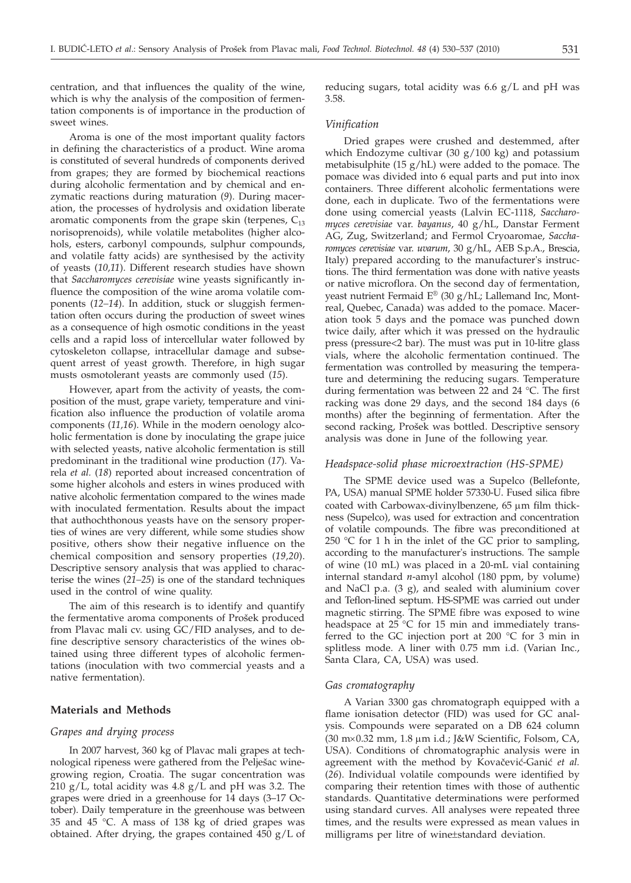centration, and that influences the quality of the wine, which is why the analysis of the composition of fermentation components is of importance in the production of sweet wines.

Aroma is one of the most important quality factors in defining the characteristics of a product. Wine aroma is constituted of several hundreds of components derived from grapes; they are formed by biochemical reactions during alcoholic fermentation and by chemical and enzymatic reactions during maturation (*9*). During maceration, the processes of hydrolysis and oxidation liberate aromatic components from the grape skin (terpenes,  $C_{13}$ ) norisoprenoids), while volatile metabolites (higher alcohols, esters, carbonyl compounds, sulphur compounds, and volatile fatty acids) are synthesised by the activity of yeasts (*10,11*). Different research studies have shown that *Saccharomyces cerevisiae* wine yeasts significantly influence the composition of the wine aroma volatile components (*12–14*). In addition, stuck or sluggish fermentation often occurs during the production of sweet wines as a consequence of high osmotic conditions in the yeast cells and a rapid loss of intercellular water followed by cytoskeleton collapse, intracellular damage and subsequent arrest of yeast growth. Therefore, in high sugar musts osmotolerant yeasts are commonly used (*15*).

However, apart from the activity of yeasts, the composition of the must, grape variety, temperature and vinification also influence the production of volatile aroma components (*11,16*). While in the modern oenology alcoholic fermentation is done by inoculating the grape juice with selected yeasts, native alcoholic fermentation is still predominant in the traditional wine production (*17*). Varela *et al.* (*18*) reported about increased concentration of some higher alcohols and esters in wines produced with native alcoholic fermentation compared to the wines made with inoculated fermentation. Results about the impact that authochthonous yeasts have on the sensory properties of wines are very different, while some studies show positive, others show their negative influence on the chemical composition and sensory properties (*19,20*). Descriptive sensory analysis that was applied to characterise the wines (*21–25*) is one of the standard techniques used in the control of wine quality.

The aim of this research is to identify and quantify the fermentative aroma components of Prošek produced from Plavac mali cv. using GC/FID analyses, and to define descriptive sensory characteristics of the wines obtained using three different types of alcoholic fermentations (inoculation with two commercial yeasts and a native fermentation).

# **Materials and Methods**

#### *Grapes and drying process*

In 2007 harvest, 360 kg of Plavac mali grapes at technological ripeness were gathered from the Pelješac winegrowing region, Croatia. The sugar concentration was 210  $g/L$ , total acidity was 4.8  $g/L$  and pH was 3.2. The grapes were dried in a greenhouse for 14 days (3–17 October). Daily temperature in the greenhouse was between 35 and 45 °C. A mass of 138 kg of dried grapes was obtained. After drying, the grapes contained 450 g/L of

reducing sugars, total acidity was 6.6 g/L and pH was 3.58.

## *Vinification*

Dried grapes were crushed and destemmed, after which Endozyme cultivar  $(30 g/100 kg)$  and potassium metabisulphite  $(15 \text{ g/hL})$  were added to the pomace. The pomace was divided into 6 equal parts and put into inox containers. Three different alcoholic fermentations were done, each in duplicate. Two of the fermentations were done using comercial yeasts (Lalvin EC-1118, *Saccharomyces cerevisiae* var. *bayanus*, 40 g/hL, Danstar Ferment AG, Zug, Switzerland; and Fermol Cryoaromae, *Saccharomyces cerevisiae* var. *uvarum*, 30 g/hL, AEB S.p.A., Brescia, Italy) prepared according to the manufacturer's instructions. The third fermentation was done with native yeasts or native microflora. On the second day of fermentation, yeast nutrient Fermaid E® (30 g/hL; Lallemand Inc, Montreal, Quebec, Canada) was added to the pomace. Maceration took 5 days and the pomace was punched down twice daily, after which it was pressed on the hydraulic press (pressure<2 bar). The must was put in 10-litre glass vials, where the alcoholic fermentation continued. The fermentation was controlled by measuring the temperature and determining the reducing sugars. Temperature during fermentation was between 22 and 24 °C. The first racking was done 29 days, and the second 184 days (6 months) after the beginning of fermentation. After the second racking, Prošek was bottled. Descriptive sensory analysis was done in June of the following year.

## *Headspace-solid phase microextraction (HS-SPME)*

The SPME device used was a Supelco (Bellefonte, PA, USA) manual SPME holder 57330-U. Fused silica fibre coated with Carbowax-divinylbenzene,  $65 \mu m$  film thickness (Supelco), was used for extraction and concentration of volatile compounds. The fibre was preconditioned at 250  $\degree$ C for 1 h in the inlet of the GC prior to sampling, according to the manufacturer's instructions. The sample of wine (10 mL) was placed in a 20-mL vial containing internal standard *n*-amyl alcohol (180 ppm, by volume) and NaCl p.a. (3 g), and sealed with aluminium cover and Teflon-lined septum. HS-SPME was carried out under magnetic stirring. The SPME fibre was exposed to wine headspace at  $25^{\circ}$ C for 15 min and immediately transferred to the GC injection port at 200 °C for 3 min in splitless mode. A liner with 0.75 mm i.d. (Varian Inc., Santa Clara, CA, USA) was used.

## *Gas cromatography*

A Varian 3300 gas chromatograph equipped with a flame ionisation detector (FID) was used for GC analysis. Compounds were separated on a DB 624 column (30 m´0.32 mm, 1.8 mm i.d.; J&W Scientific, Folsom, CA, USA). Conditions of chromatographic analysis were in agreement with the method by Kovačević-Ganić et al. (*26*). Individual volatile compounds were identified by comparing their retention times with those of authentic standards. Quantitative determinations were performed using standard curves. All analyses were repeated three times, and the results were expressed as mean values in milligrams per litre of wine±standard deviation.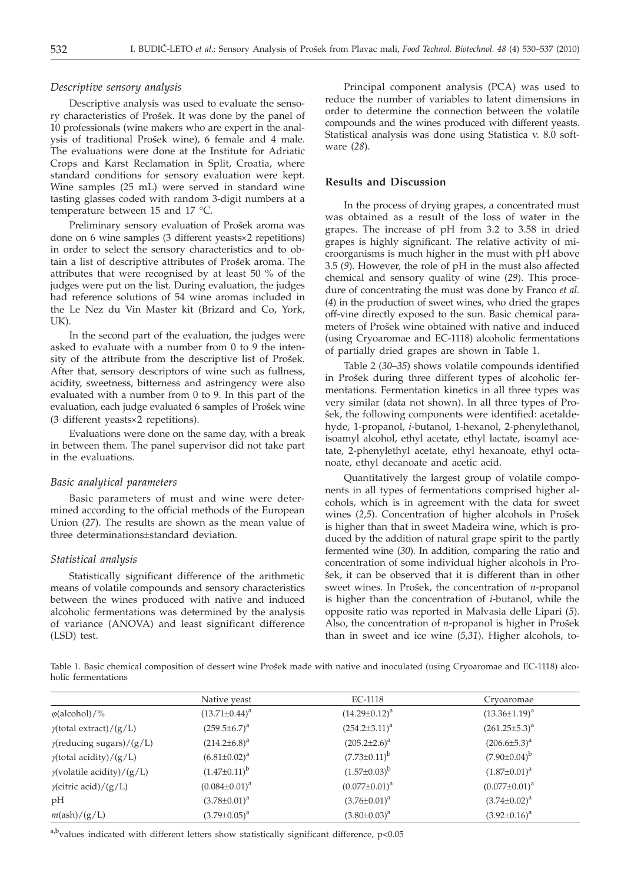## *Descriptive sensory analysis*

Descriptive analysis was used to evaluate the sensory characteristics of Prošek. It was done by the panel of 10 professionals (wine makers who are expert in the analysis of traditional Prošek wine), 6 female and 4 male. The evaluations were done at the Institute for Adriatic Crops and Karst Reclamation in Split, Croatia, where standard conditions for sensory evaluation were kept. Wine samples (25 mL) were served in standard wine tasting glasses coded with random 3-digit numbers at a temperature between 15 and 17 °C.

Preliminary sensory evaluation of Prošek aroma was done on 6 wine samples (3 different yeasts×2 repetitions) in order to select the sensory characteristics and to obtain a list of descriptive attributes of Prošek aroma. The attributes that were recognised by at least 50 % of the judges were put on the list. During evaluation, the judges had reference solutions of 54 wine aromas included in the Le Nez du Vin Master kit (Brizard and Co, York, UK).

In the second part of the evaluation, the judges were asked to evaluate with a number from 0 to 9 the intensity of the attribute from the descriptive list of Prošek. After that, sensory descriptors of wine such as fullness, acidity, sweetness, bitterness and astringency were also evaluated with a number from 0 to 9. In this part of the evaluation, each judge evaluated 6 samples of Prošek wine  $(3$  different yeasts $\times$ 2 repetitions).

Evaluations were done on the same day, with a break in between them. The panel supervisor did not take part in the evaluations.

### *Basic analytical parameters*

Basic parameters of must and wine were determined according to the official methods of the European Union (*27*). The results are shown as the mean value of three determinations±standard deviation.

#### *Statistical analysis*

Statistically significant difference of the arithmetic means of volatile compounds and sensory characteristics between the wines produced with native and induced alcoholic fermentations was determined by the analysis of variance (ANOVA) and least significant difference (LSD) test.

Principal component analysis (PCA) was used to reduce the number of variables to latent dimensions in order to determine the connection between the volatile compounds and the wines produced with different yeasts. Statistical analysis was done using Statistica v. 8.0 software (*28*).

## **Results and Discussion**

In the process of drying grapes, a concentrated must was obtained as a result of the loss of water in the grapes. The increase of pH from 3.2 to 3.58 in dried grapes is highly significant. The relative activity of microorganisms is much higher in the must with pH above 3.5 (*9*). However, the role of pH in the must also affected chemical and sensory quality of wine (*29*). This procedure of concentrating the must was done by Franco *et al.* (*4*) in the production of sweet wines, who dried the grapes off-vine directly exposed to the sun. Basic chemical parameters of Prošek wine obtained with native and induced (using Cryoaromae and EC-1118) alcoholic fermentations of partially dried grapes are shown in Table 1.

Table 2 (*30–35*) shows volatile compounds identified in Prošek during three different types of alcoholic fermentations. Fermentation kinetics in all three types was very similar (data not shown). In all three types of Pro šek, the following components were identified: acetaldehyde, 1-propanol, *i*-butanol, 1-hexanol, 2-phenylethanol, isoamyl alcohol, ethyl acetate, ethyl lactate, isoamyl acetate, 2-phenylethyl acetate, ethyl hexanoate, ethyl octanoate, ethyl decanoate and acetic acid.

Quantitatively the largest group of volatile components in all types of fermentations comprised higher alcohols, which is in agreement with the data for sweet wines (2,5). Concentration of higher alcohols in Prošek is higher than that in sweet Madeira wine, which is produced by the addition of natural grape spirit to the partly fermented wine (*30*). In addition, comparing the ratio and concentration of some individual higher alcohols in Pro šek, it can be observed that it is different than in other sweet wines. In Prošek, the concentration of *n*-propanol is higher than the concentration of *i*-butanol, while the opposite ratio was reported in Malvasia delle Lipari (*5*). Also, the concentration of *n*-propanol is higher in Prošek than in sweet and ice wine (*5,31*). Higher alcohols, to-

Table 1. Basic chemical composition of dessert wine Prošek made with native and inoculated (using Cryoaromae and EC-1118) alcoholic fermentations

|                                   | Native yeast         | EC-1118              | Cryoaromae           |  |  |
|-----------------------------------|----------------------|----------------------|----------------------|--|--|
| $\varphi$ (alcohol)/%             | $(13.71 \pm 0.44)^a$ | $(14.29 \pm 0.12)^a$ | $(13.36 \pm 1.19)^a$ |  |  |
| $\gamma$ (total extract)/(g/L)    | $(259.5 \pm 6.7)^a$  | $(254.2 \pm 3.11)^a$ | $(261.25 \pm 5.3)^a$ |  |  |
| $\gamma$ (reducing sugars)/(g/L)  | $(214.2 \pm 6.8)^a$  | $(205.2 \pm 2.6)^a$  | $(206.6\pm5.3)^a$    |  |  |
| $\gamma$ (total acidity)/(g/L)    | $(6.81 \pm 0.02)^a$  | $(7.73 \pm 0.11)^b$  | $(7.90 \pm 0.04)^b$  |  |  |
| $\gamma$ (volatile acidity)/(g/L) | $(1.47\pm0.11)^{b}$  | $(1.57 \pm 0.03)^b$  | $(1.87 \pm 0.01)^a$  |  |  |
| $\gamma$ (citric acid)/(g/L)      | $(0.084 \pm 0.01)^a$ | $(0.077 \pm 0.01)^a$ | $(0.077 \pm 0.01)^a$ |  |  |
| pH                                | $(3.78 \pm 0.01)^a$  | $(3.76 \pm 0.01)^a$  | $(3.74 \pm 0.02)^a$  |  |  |
| $m(\text{ash})/(g/L)$             | $(3.79 \pm 0.05)^a$  | $(3.80 \pm 0.03)^a$  | $(3.92 \pm 0.16)^a$  |  |  |

a,b<sub>values</sub> indicated with different letters show statistically significant difference, p<0.05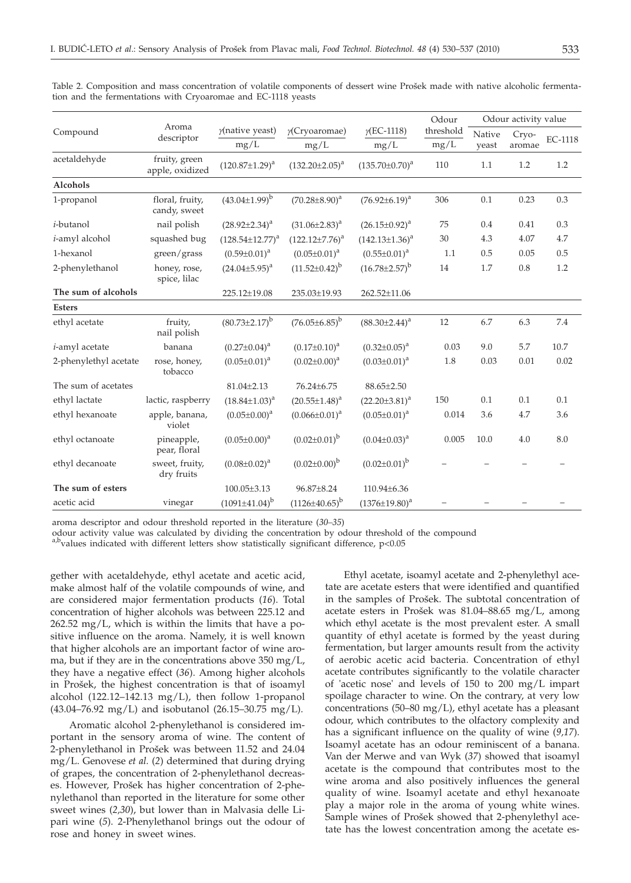| Compound               | Aroma<br>descriptor              |                          |                                     |                        | Odour                    | Odour activity value     |         |      |
|------------------------|----------------------------------|--------------------------|-------------------------------------|------------------------|--------------------------|--------------------------|---------|------|
|                        |                                  | $\gamma$ (native yeast)  | $\gamma$ (EC-1118)<br>y(Cryoaromae) | threshold              | Native                   | Cryo-                    | EC-1118 |      |
|                        |                                  | mg/L                     | mg/L                                | mg/L                   | $mg/L$                   | yeast                    | aromae  |      |
| acetaldehyde           | fruity, green<br>apple, oxidized | $(120.87 \pm 1.29)^a$    | $(132.20 \pm 2.05)^a$               | $(135.70 \pm 0.70)^a$  | 110                      | 1.1                      | 1.2     | 1.2  |
| Alcohols               |                                  |                          |                                     |                        |                          |                          |         |      |
| 1-propanol             | floral, fruity,<br>candy, sweet  | $(43.04 \pm 1.99)^{b}$   | $(70.28 \pm 8.90)^a$                | $(76.92 \pm 6.19)^a$   | 306                      | 0.1                      | 0.23    | 0.3  |
| <i>i</i> -butanol      | nail polish                      | $(28.92 \pm 2.34)^a$     | $(31.06\pm2.83)^a$                  | $(26.15 \pm 0.92)^a$   | 75                       | 0.4                      | 0.41    | 0.3  |
| <i>i</i> -amyl alcohol | squashed bug                     | $(128.54 \pm 12.77)^{a}$ | $(122.12 \pm 7.76)^a$               | $(142.13 \pm 1.36)^a$  | 30                       | 4.3                      | 4.07    | 4.7  |
| 1-hexanol              | green/grass                      | $(0.59 \pm 0.01)^a$      | $(0.05 \pm 0.01)^a$                 | $(0.55 \pm 0.01)^a$    | 1.1                      | 0.5                      | 0.05    | 0.5  |
| 2-phenylethanol        | honey, rose,<br>spice, lilac     | $(24.04\pm5.95)^{a}$     | $(11.52 \pm 0.42)^{b}$              | $(16.78 \pm 2.57)^{b}$ | 14                       | 1.7                      | 0.8     | 1.2  |
| The sum of alcohols    |                                  | 225.12±19.08             | 235.03±19.93                        | 262.52±11.06           |                          |                          |         |      |
| <b>Esters</b>          |                                  |                          |                                     |                        |                          |                          |         |      |
| ethyl acetate          | fruity,<br>nail polish           | $(80.73 \pm 2.17)^b$     | $(76.05 \pm 6.85)^b$                | $(88.30 \pm 2.44)^a$   | 12                       | 6.7                      | 6.3     | 7.4  |
| <i>i</i> -amyl acetate | banana                           | $(0.27 \pm 0.04)^a$      | $(0.17 \pm 0.10)^a$                 | $(0.32 \pm 0.05)^a$    | 0.03                     | 9.0                      | 5.7     | 10.7 |
| 2-phenylethyl acetate  | rose, honey,<br>tobacco          | $(0.05 \pm 0.01)^a$      | $(0.02 \pm 0.00)^a$                 | $(0.03 \pm 0.01)^a$    | 1.8                      | 0.03                     | 0.01    | 0.02 |
| The sum of acetates    |                                  | $81.04 + 2.13$           | $76.24 + 6.75$                      | $88.65 + 2.50$         |                          |                          |         |      |
| ethyl lactate          | lactic, raspberry                | $(18.84 \pm 1.03)^a$     | $(20.55 \pm 1.48)^a$                | $(22.20\pm3.81)^a$     | 150                      | 0.1                      | 0.1     | 0.1  |
| ethyl hexanoate        | apple, banana,<br>violet         | $(0.05 \pm 0.00)^a$      | $(0.066 \pm 0.01)^a$                | $(0.05 \pm 0.01)^a$    | 0.014                    | 3.6                      | 4.7     | 3.6  |
| ethyl octanoate        | pineapple,<br>pear, floral       | $(0.05 \pm 0.00)^a$      | $(0.02 \pm 0.01)^b$                 | $(0.04 \pm 0.03)^a$    | 0.005                    | 10.0                     | 4.0     | 8.0  |
| ethyl decanoate        | sweet, fruity,<br>dry fruits     | $(0.08 \pm 0.02)^a$      | $(0.02 \pm 0.00)^b$                 | $(0.02 \pm 0.01)^b$    |                          |                          |         |      |
| The sum of esters      |                                  | $100.05 \pm 3.13$        | 96.87±8.24                          | 110.94±6.36            |                          |                          |         |      |
| acetic acid            | vinegar                          | $(1091\pm41.04)^{b}$     | $(1126\pm40.65)^{b}$                | $(1376 \pm 19.80)^a$   | $\overline{\phantom{0}}$ | $\overline{\phantom{0}}$ |         |      |

Table 2. Composition and mass concentration of volatile components of dessert wine Prošek made with native alcoholic fermentation and the fermentations with Cryoaromae and EC-1118 yeasts

aroma descriptor and odour threshold reported in the literature (*30–35*)

odour activity value was calculated by dividing the concentration by odour threshold of the compound

a,b<sub>values</sub> indicated with different letters show statistically significant difference, p<0.05

gether with acetaldehyde, ethyl acetate and acetic acid, make almost half of the volatile compounds of wine, and are considered major fermentation products (*16*). Total concentration of higher alcohols was between 225.12 and 262.52 mg/L, which is within the limits that have a positive influence on the aroma. Namely, it is well known that higher alcohols are an important factor of wine aroma, but if they are in the concentrations above  $350 \text{ mg/L}$ , they have a negative effect (*36*). Among higher alcohols in Prošek, the highest concentration is that of isoamyl alcohol  $(122.12-142.13 \text{ mg/L})$ , then follow 1-propanol (43.04–76.92 mg/L) and isobutanol (26.15–30.75 mg/L).

Aromatic alcohol 2-phenylethanol is considered important in the sensory aroma of wine. The content of 2-phenylethanol in Prošek was between 11.52 and 24.04 mg/L. Genovese *et al.* (*2*) determined that during drying of grapes, the concentration of 2-phenylethanol decreases. However, Prošek has higher concentration of 2-phenylethanol than reported in the literature for some other sweet wines (*2,30*), but lower than in Malvasia delle Lipari wine (*5*). 2-Phenylethanol brings out the odour of rose and honey in sweet wines.

Ethyl acetate, isoamyl acetate and 2-phenylethyl acetate are acetate esters that were identified and quantified in the samples of Prošek. The subtotal concentration of acetate esters in Prošek was  $81.04-88.65$  mg/L, among which ethyl acetate is the most prevalent ester. A small quantity of ethyl acetate is formed by the yeast during fermentation, but larger amounts result from the activity of aerobic acetic acid bacteria. Concentration of ethyl acetate contributes significantly to the volatile character of 'acetic nose' and levels of 150 to 200 mg/L impart spoilage character to wine. On the contrary, at very low concentrations (50–80 mg/L), ethyl acetate has a pleasant odour, which contributes to the olfactory complexity and has a significant influence on the quality of wine (*9,17*). Isoamyl acetate has an odour reminiscent of a banana. Van der Merwe and van Wyk (*37*) showed that isoamyl acetate is the compound that contributes most to the wine aroma and also positively influences the general quality of wine. Isoamyl acetate and ethyl hexanoate play a major role in the aroma of young white wines. Sample wines of Prošek showed that 2-phenylethyl acetate has the lowest concentration among the acetate es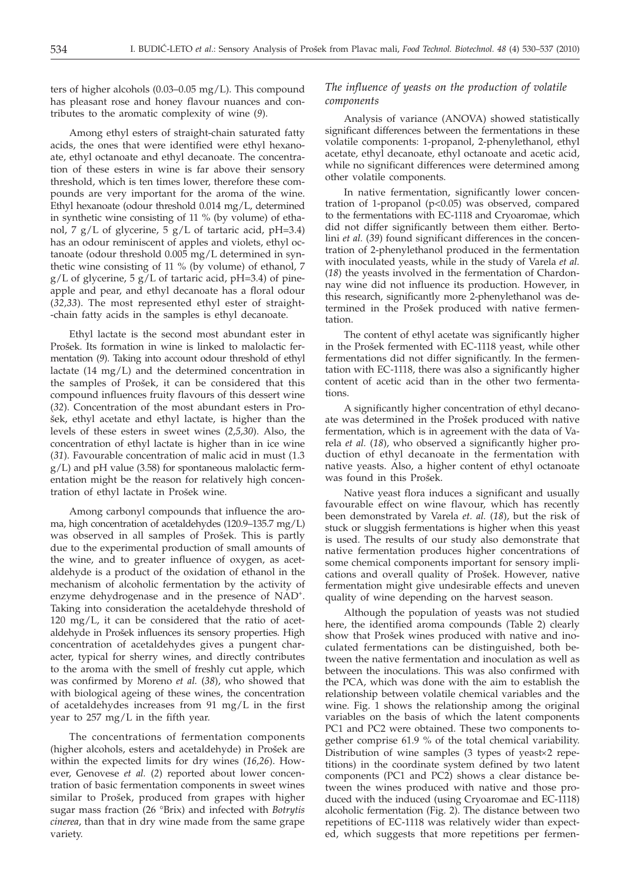ters of higher alcohols (0.03–0.05 mg/L). This compound has pleasant rose and honey flavour nuances and contributes to the aromatic complexity of wine (*9*).

Among ethyl esters of straight-chain saturated fatty acids, the ones that were identified were ethyl hexanoate, ethyl octanoate and ethyl decanoate. The concentration of these esters in wine is far above their sensory threshold, which is ten times lower, therefore these compounds are very important for the aroma of the wine. Ethyl hexanoate (odour threshold 0.014 mg/L, determined in synthetic wine consisting of 11 % (by volume) of ethanol, 7 g/L of glycerine, 5 g/L of tartaric acid, pH=3.4) has an odour reminiscent of apples and violets, ethyl octanoate (odour threshold 0.005 mg/L determined in synthetic wine consisting of 11 % (by volume) of ethanol, 7  $g/L$  of glycerine, 5  $g/L$  of tartaric acid, pH=3.4) of pineapple and pear, and ethyl decanoate has a floral odour (*32,33*). The most represented ethyl ester of straight- -chain fatty acids in the samples is ethyl decanoate.

Ethyl lactate is the second most abundant ester in Prošek. Its formation in wine is linked to malolactic fermentation (*9*). Taking into account odour threshold of ethyl lactate (14 mg/L) and the determined concentration in the samples of Prošek, it can be considered that this compound influences fruity flavours of this dessert wine (*32*). Concentration of the most abundant esters in Pro šek, ethyl acetate and ethyl lactate, is higher than the levels of these esters in sweet wines (*2,5,30*). Also, the concentration of ethyl lactate is higher than in ice wine (*31*). Favourable concentration of malic acid in must (1.3 g/L) and pH value (3.58) for spontaneous malolactic fermentation might be the reason for relatively high concentration of ethyl lactate in Prošek wine.

Among carbonyl compounds that influence the aroma, high concentration of acetaldehydes (120.9–135.7 mg/L) was observed in all samples of Prošek. This is partly due to the experimental production of small amounts of the wine, and to greater influence of oxygen, as acetaldehyde is a product of the oxidation of ethanol in the mechanism of alcoholic fermentation by the activity of enzyme dehydrogenase and in the presence of NAD<sup>+</sup>. Taking into consideration the acetaldehyde threshold of 120 mg/L, it can be considered that the ratio of acetaldehyde in Prošek influences its sensory properties. High concentration of acetaldehydes gives a pungent character, typical for sherry wines, and directly contributes to the aroma with the smell of freshly cut apple, which was confirmed by Moreno *et al.* (*38*), who showed that with biological ageing of these wines, the concentration of acetaldehydes increases from 91 mg/L in the first year to 257 mg/L in the fifth year.

The concentrations of fermentation components (higher alcohols, esters and acetaldehyde) in Prošek are within the expected limits for dry wines (*16,26*). However, Genovese *et al.* (*2*) reported about lower concentration of basic fermentation components in sweet wines similar to Prošek, produced from grapes with higher sugar mass fraction (26 °Brix) and infected with *Botrytis cinerea*, than that in dry wine made from the same grape variety.

# *The influence of yeasts on the production of volatile components*

Analysis of variance (ANOVA) showed statistically significant differences between the fermentations in these volatile components: 1-propanol, 2-phenylethanol, ethyl acetate, ethyl decanoate, ethyl octanoate and acetic acid, while no significant differences were determined among other volatile components.

In native fermentation, significantly lower concentration of 1-propanol (p<0.05) was observed, compared to the fermentations with EC-1118 and Cryoaromae, which did not differ significantly between them either. Bertolini *et al.* (*39*) found significant differences in the concentration of 2-phenylethanol produced in the fermentation with inoculated yeasts, while in the study of Varela *et al.* (*18*) the yeasts involved in the fermentation of Chardonnay wine did not influence its production. However, in this research, significantly more 2-phenylethanol was determined in the Prošek produced with native fermentation.

The content of ethyl acetate was significantly higher in the Prošek fermented with EC-1118 yeast, while other fermentations did not differ significantly. In the fermentation with EC-1118, there was also a significantly higher content of acetic acid than in the other two fermentations.

A significantly higher concentration of ethyl decanoate was determined in the Prošek produced with native fermentation, which is in agreement with the data of Varela *et al.* (*18*), who observed a significantly higher production of ethyl decanoate in the fermentation with native yeasts. Also, a higher content of ethyl octanoate was found in this Prošek.

Native yeast flora induces a significant and usually favourable effect on wine flavour, which has recently been demonstrated by Varela *et. al.* (*18*), but the risk of stuck or sluggish fermentations is higher when this yeast is used. The results of our study also demonstrate that native fermentation produces higher concentrations of some chemical components important for sensory implications and overall quality of Prošek. However, native fermentation might give undesirable effects and uneven quality of wine depending on the harvest season.

Although the population of yeasts was not studied here, the identified aroma compounds (Table 2) clearly show that Prošek wines produced with native and inoculated fermentations can be distinguished, both between the native fermentation and inoculation as well as between the inoculations. This was also confirmed with the PCA, which was done with the aim to establish the relationship between volatile chemical variables and the wine. Fig. 1 shows the relationship among the original variables on the basis of which the latent components PC1 and PC2 were obtained. These two components together comprise 61.9 % of the total chemical variability. Distribution of wine samples  $(3$  types of yeast $\times 2$  repetitions) in the coordinate system defined by two latent components (PC1 and PC2) shows a clear distance between the wines produced with native and those produced with the induced (using Cryoaromae and EC-1118) alcoholic fermentation (Fig. 2). The distance between two repetitions of EC-1118 was relatively wider than expected, which suggests that more repetitions per fermen-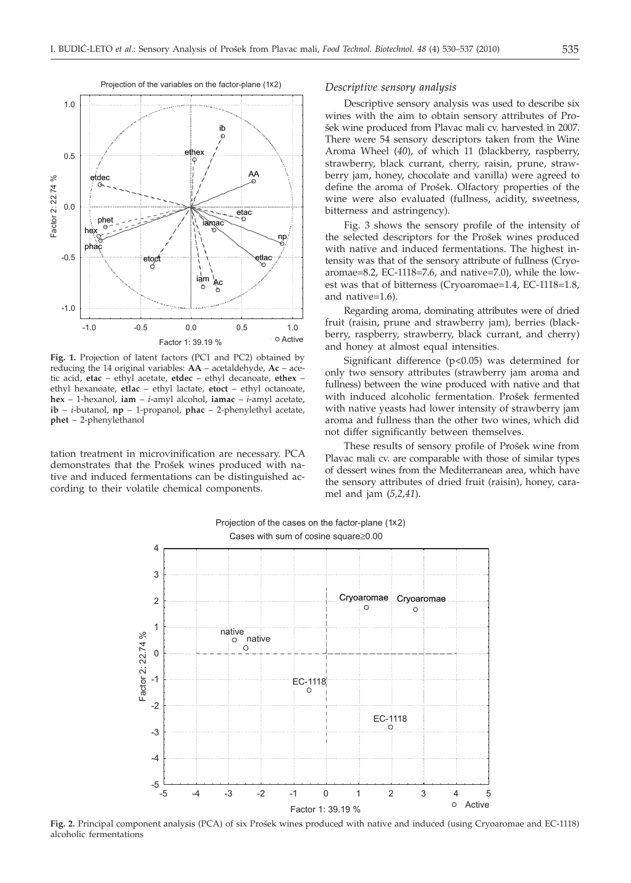

**Fig. 1.** Projection of latent factors (PC1 and PC2) obtained by reducing the 14 original variables: **AA** – acetaldehyde, **Ac** – acetic acid, **etac** – ethyl acetate, **etdec** – ethyl decanoate, **ethex** – ethyl hexanoate, **etlac** – ethyl lactate, **etoct** – ethyl octanoate, **hex** – 1-hexanol, **iam** – *i*-amyl alcohol, **iamac** – *i*-amyl acetate, **ib** – *i*-butanol, **np** – 1-propanol, **phac** – 2-phenylethyl acetate, **phet** – 2-phenylethanol

tation treatment in microvinification are necessary. PCA demonstrates that the Prošek wines produced with native and induced fermentations can be distinguished according to their volatile chemical components.

#### *Descriptive sensory analysis*

Descriptive sensory analysis was used to describe six wines with the aim to obtain sensory attributes of Pro šek wine produced from Plavac mali cv. harvested in 2007. There were 54 sensory descriptors taken from the Wine Aroma Wheel (*40*), of which 11 (blackberry, raspberry, strawberry, black currant, cherry, raisin, prune, strawberry jam, honey, chocolate and vanilla) were agreed to define the aroma of Prošek. Olfactory properties of the wine were also evaluated (fullness, acidity, sweetness, bitterness and astringency).

Fig. 3 shows the sensory profile of the intensity of the selected descriptors for the Prošek wines produced with native and induced fermentations. The highest intensity was that of the sensory attribute of fullness (Cryoaromae=8.2, EC-1118=7.6, and native=7.0), while the lowest was that of bitterness (Cryoaromae=1.4, EC-1118=1.8, and native=1.6).

Regarding aroma, dominating attributes were of dried fruit (raisin, prune and strawberry jam), berries (blackberry, raspberry, strawberry, black currant, and cherry) and honey at almost equal intensities.

Significant difference (p<0.05) was determined for only two sensory attributes (strawberry jam aroma and fullness) between the wine produced with native and that with induced alcoholic fermentation. Prošek fermented with native yeasts had lower intensity of strawberry jam aroma and fullness than the other two wines, which did not differ significantly between themselves.

These results of sensory profile of Prošek wine from Plavac mali cv. are comparable with those of similar types of dessert wines from the Mediterranean area, which have the sensory attributes of dried fruit (raisin), honey, caramel and jam (*5,2,41*).



Projection of the cases on the factor-plane (1x2) Cases with sum of cosine square  $\geq 0.00$ 

Fig. 2. Principal component analysis (PCA) of six Prošek wines produced with native and induced (using Cryoaromae and EC-1118) alcoholic fermentations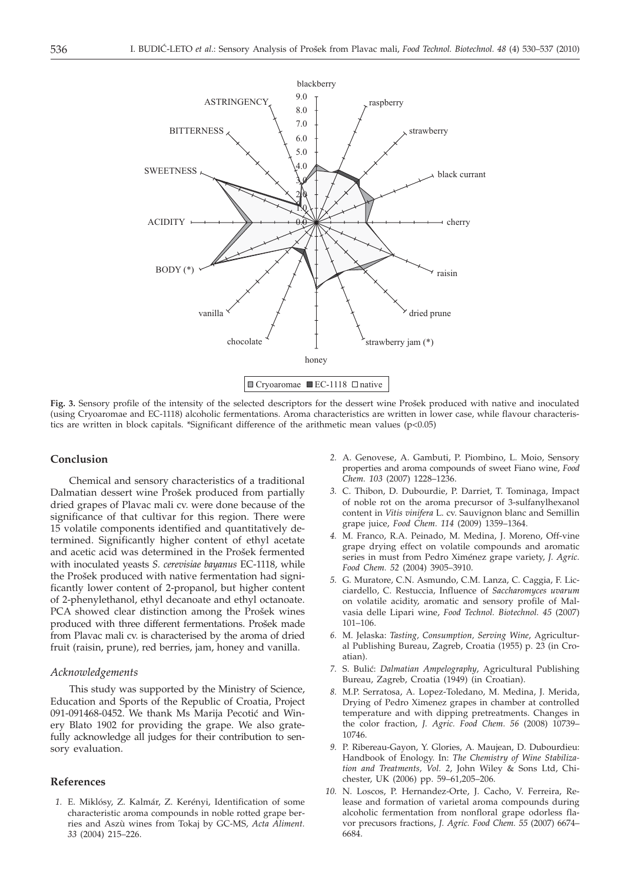

Fig. 3. Sensory profile of the intensity of the selected descriptors for the dessert wine Prošek produced with native and inoculated (using Cryoaromae and EC-1118) alcoholic fermentations. Aroma characteristics are written in lower case, while flavour characteristics are written in block capitals. \*Significant difference of the arithmetic mean values (p<0.05)

# **Conclusion**

Chemical and sensory characteristics of a traditional Dalmatian dessert wine Prošek produced from partially dried grapes of Plavac mali cv. were done because of the significance of that cultivar for this region. There were 15 volatile components identified and quantitatively determined. Significantly higher content of ethyl acetate and acetic acid was determined in the Prošek fermented with inoculated yeasts *S. cerevisiae bayanus* EC-1118, while the Prošek produced with native fermentation had significantly lower content of 2-propanol, but higher content of 2-phenylethanol, ethyl decanoate and ethyl octanoate. PCA showed clear distinction among the Prošek wines produced with three different fermentations. Prošek made from Plavac mali cv. is characterised by the aroma of dried fruit (raisin, prune), red berries, jam, honey and vanilla.

#### *Acknowledgements*

This study was supported by the Ministry of Science, Education and Sports of the Republic of Croatia, Project 091-091468-0452. We thank Ms Marija Pecotić and Winery Blato 1902 for providing the grape. We also gratefully acknowledge all judges for their contribution to sensory evaluation.

## **References**

*1.* E. Miklósy, Z. Kalmár, Z. Kerényi, Identification of some characteristic aroma compounds in noble rotted grape berries and Aszù wines from Tokaj by GC-MS, *Acta Aliment. 33* (2004) 215–226.

- *2.* A. Genovese, A. Gambuti, P. Piombino, L. Moio, Sensory properties and aroma compounds of sweet Fiano wine, *Food Chem. 103* (2007) 1228–1236.
- *3.* C. Thibon, D. Dubourdie, P. Darriet, T. Tominaga, Impact of noble rot on the aroma precursor of 3-sulfanylhexanol content in *Vitis vinifera* L. cv. Sauvignon blanc and Semillin grape juice, *Food Chem. 114* (2009) 1359–1364.
- *4.* M. Franco, R.A. Peinado, M. Medina, J. Moreno, Off-vine grape drying effect on volatile compounds and aromatic series in must from Pedro Ximénez grape variety, *J. Agric. Food Chem. 52* (2004) 3905–3910.
- *5.* G. Muratore, C.N. Asmundo, C.M. Lanza, C. Caggia, F. Licciardello, C. Restuccia, Influence of *Saccharomyces uvarum* on volatile acidity, aromatic and sensory profile of Malvasia delle Lipari wine, *Food Technol. Biotechnol. 45* (2007) 101–106.
- *6.* M. Jelaska: *Tasting, Consumption, Serving Wine*, Agricultural Publishing Bureau, Zagreb, Croatia (1955) p. 23 (in Croatian).
- 7. S. Bulić: *Dalmatian Ampelography*, Agricultural Publishing Bureau, Zagreb, Croatia (1949) (in Croatian).
- *8.* M.P. Serratosa, A. Lopez-Toledano, M. Medina, J. Merida, Drying of Pedro Ximenez grapes in chamber at controlled temperature and with dipping pretreatments. Changes in the color fraction, *J. Agric. Food Chem. 56* (2008) 10739– 10746.
- *9.* P. Ribereau-Gayon, Y. Glories, A. Maujean, D. Dubourdieu: Handbook of Enology. In: *The Chemistry of Wine Stabilization and Treatments, Vol. 2*, John Wiley & Sons Ltd, Chichester, UK (2006) pp. 59–61,205–206.
- *10.* N. Loscos, P. Hernandez-Orte, J. Cacho, V. Ferreira, Release and formation of varietal aroma compounds during alcoholic fermentation from nonfloral grape odorless flavor precusors fractions, *J. Agric. Food Chem. 55* (2007) 6674– 6684.